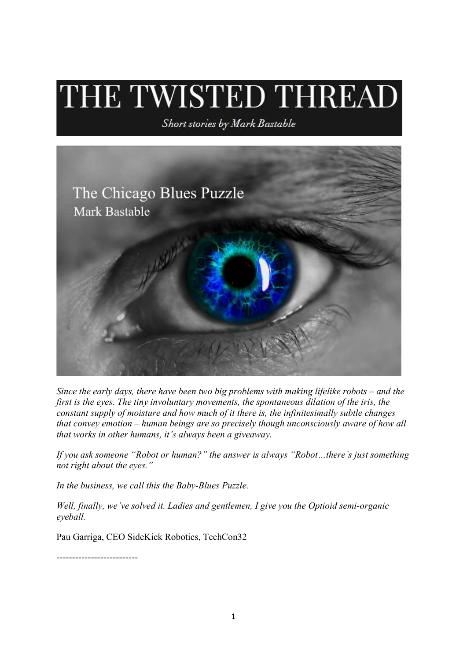## THE TWISTED THREAD

Short stories by Mark Bastable



Since the early days, there have been two big problems with making lifelike robots – and the first is the eyes. The tiny involuntary movements, the spontaneous dilation of the iris, the constant supply of moisture and how much of it there is, the infinitesimally subtle changes that convey emotion – human beings are so precisely though unconsciously aware of how all that works in other humans, it's always been a giveaway.

If you ask someone "Robot or human?" the answer is always "Robot…there's just something not right about the eyes."

In the business, we call this the Baby-Blues Puzzle.

Well, finally, we've solved it. Ladies and gentlemen, I give you the Optioid semi-organic eyeball.

Pau Garriga, CEO SideKick Robotics, TechCon32

--------------------------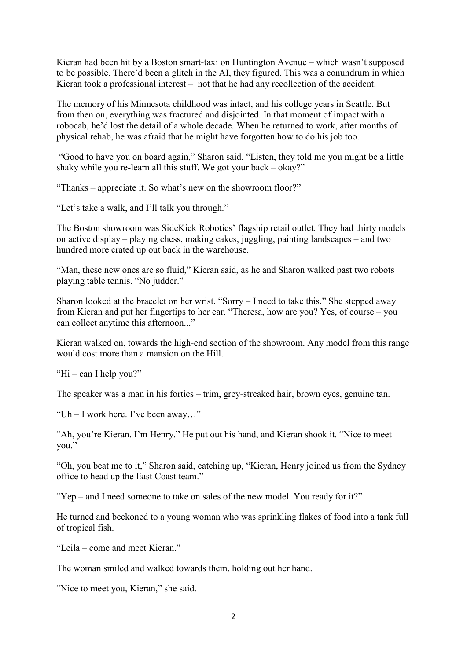Kieran had been hit by a Boston smart-taxi on Huntington Avenue – which wasn't supposed to be possible. There'd been a glitch in the AI, they figured. This was a conundrum in which Kieran took a professional interest – not that he had any recollection of the accident.

The memory of his Minnesota childhood was intact, and his college years in Seattle. But from then on, everything was fractured and disjointed. In that moment of impact with a robocab, he'd lost the detail of a whole decade. When he returned to work, after months of physical rehab, he was afraid that he might have forgotten how to do his job too.

 "Good to have you on board again," Sharon said. "Listen, they told me you might be a little shaky while you re-learn all this stuff. We got your back – okay?"

"Thanks – appreciate it. So what's new on the showroom floor?"

"Let's take a walk, and I'll talk you through."

The Boston showroom was SideKick Robotics' flagship retail outlet. They had thirty models on active display – playing chess, making cakes, juggling, painting landscapes – and two hundred more crated up out back in the warehouse.

"Man, these new ones are so fluid," Kieran said, as he and Sharon walked past two robots playing table tennis. "No judder."

Sharon looked at the bracelet on her wrist. "Sorry – I need to take this." She stepped away from Kieran and put her fingertips to her ear. "Theresa, how are you? Yes, of course – you can collect anytime this afternoon..."

Kieran walked on, towards the high-end section of the showroom. Any model from this range would cost more than a mansion on the Hill.

"Hi – can I help you?"

The speaker was a man in his forties – trim, grey-streaked hair, brown eyes, genuine tan.

"Uh – I work here. I've been away…"

"Ah, you're Kieran. I'm Henry." He put out his hand, and Kieran shook it. "Nice to meet you."

"Oh, you beat me to it," Sharon said, catching up, "Kieran, Henry joined us from the Sydney office to head up the East Coast team."

"Yep – and I need someone to take on sales of the new model. You ready for it?"

He turned and beckoned to a young woman who was sprinkling flakes of food into a tank full of tropical fish.

"Leila – come and meet Kieran."

The woman smiled and walked towards them, holding out her hand.

"Nice to meet you, Kieran," she said.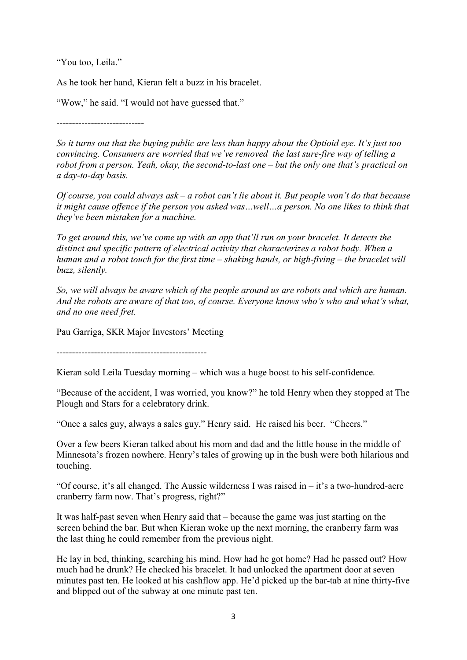"You too, Leila."

As he took her hand, Kieran felt a buzz in his bracelet.

"Wow," he said. "I would not have guessed that."

----------------------------

So it turns out that the buying public are less than happy about the Optioid eye. It's just too convincing. Consumers are worried that we've removed the last sure-fire way of telling a robot from a person. Yeah, okay, the second-to-last one – but the only one that's practical on a day-to-day basis.

Of course, you could always  $ask - a$  robot can't lie about it. But people won't do that because it might cause offence if the person you asked was…well…a person. No one likes to think that they've been mistaken for a machine.

To get around this, we've come up with an app that'll run on your bracelet. It detects the distinct and specific pattern of electrical activity that characterizes a robot body. When a human and a robot touch for the first time – shaking hands, or high-fiving – the bracelet will buzz, silently.

So, we will always be aware which of the people around us are robots and which are human. And the robots are aware of that too, of course. Everyone knows who's who and what's what, and no one need fret.

Pau Garriga, SKR Major Investors' Meeting

------------------------------------------------

Kieran sold Leila Tuesday morning – which was a huge boost to his self-confidence.

"Because of the accident, I was worried, you know?" he told Henry when they stopped at The Plough and Stars for a celebratory drink.

"Once a sales guy, always a sales guy," Henry said. He raised his beer. "Cheers."

Over a few beers Kieran talked about his mom and dad and the little house in the middle of Minnesota's frozen nowhere. Henry's tales of growing up in the bush were both hilarious and touching.

"Of course, it's all changed. The Aussie wilderness I was raised in  $-$  it's a two-hundred-acre cranberry farm now. That's progress, right?"

It was half-past seven when Henry said that – because the game was just starting on the screen behind the bar. But when Kieran woke up the next morning, the cranberry farm was the last thing he could remember from the previous night.

He lay in bed, thinking, searching his mind. How had he got home? Had he passed out? How much had he drunk? He checked his bracelet. It had unlocked the apartment door at seven minutes past ten. He looked at his cashflow app. He'd picked up the bar-tab at nine thirty-five and blipped out of the subway at one minute past ten.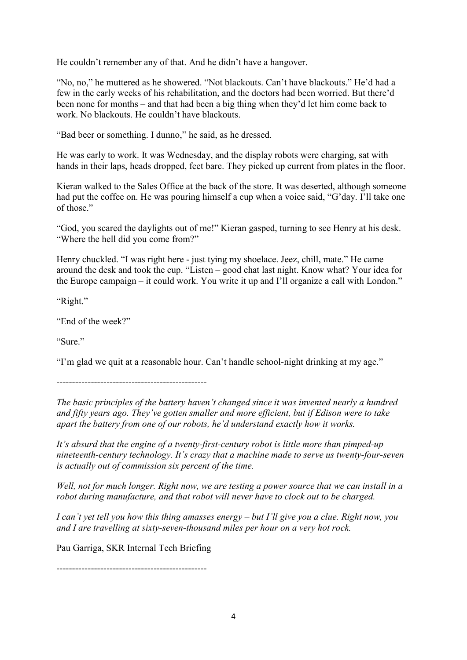He couldn't remember any of that. And he didn't have a hangover.

"No, no," he muttered as he showered. "Not blackouts. Can't have blackouts." He'd had a few in the early weeks of his rehabilitation, and the doctors had been worried. But there'd been none for months – and that had been a big thing when they'd let him come back to work. No blackouts. He couldn't have blackouts.

"Bad beer or something. I dunno," he said, as he dressed.

He was early to work. It was Wednesday, and the display robots were charging, sat with hands in their laps, heads dropped, feet bare. They picked up current from plates in the floor.

Kieran walked to the Sales Office at the back of the store. It was deserted, although someone had put the coffee on. He was pouring himself a cup when a voice said, "G'day. I'll take one of those."

"God, you scared the daylights out of me!" Kieran gasped, turning to see Henry at his desk. "Where the hell did you come from?"

Henry chuckled. "I was right here - just tying my shoelace. Jeez, chill, mate." He came around the desk and took the cup. "Listen – good chat last night. Know what? Your idea for the Europe campaign – it could work. You write it up and I'll organize a call with London."

"Right."

"End of the week?"

"Sure"

"I'm glad we quit at a reasonable hour. Can't handle school-night drinking at my age."

------------------------------------------------

The basic principles of the battery haven't changed since it was invented nearly a hundred and fifty years ago. They've gotten smaller and more efficient, but if Edison were to take apart the battery from one of our robots, he'd understand exactly how it works.

It's absurd that the engine of a twenty-first-century robot is little more than pimped-up nineteenth-century technology. It's crazy that a machine made to serve us twenty-four-seven is actually out of commission six percent of the time.

Well, not for much longer. Right now, we are testing a power source that we can install in a robot during manufacture, and that robot will never have to clock out to be charged.

I can't yet tell you how this thing amasses energy – but I'll give you a clue. Right now, you and I are travelling at sixty-seven-thousand miles per hour on a very hot rock.

Pau Garriga, SKR Internal Tech Briefing

------------------------------------------------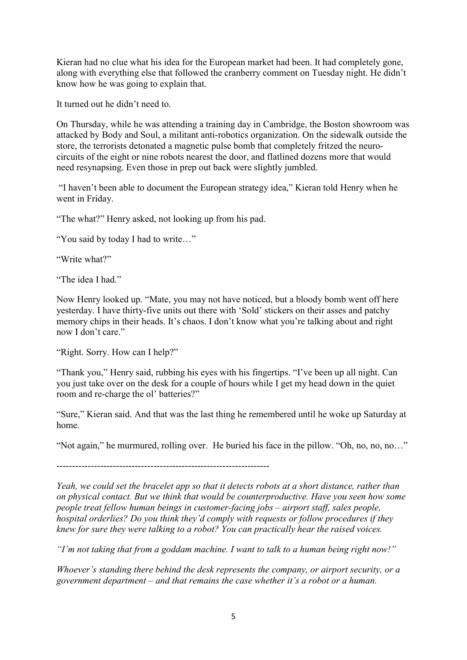Kieran had no clue what his idea for the European market had been. It had completely gone, along with everything else that followed the cranberry comment on Tuesday night. He didn't know how he was going to explain that.

It turned out he didn't need to.

On Thursday, while he was attending a training day in Cambridge, the Boston showroom was attacked by Body and Soul, a militant anti-robotics organization. On the sidewalk outside the store, the terrorists detonated a magnetic pulse bomb that completely fritzed the neurocircuits of the eight or nine robots nearest the door, and flatlined dozens more that would need resynapsing. Even those in prep out back were slightly jumbled.

 "I haven't been able to document the European strategy idea," Kieran told Henry when he went in Friday.

"The what?" Henry asked, not looking up from his pad.

"You said by today I had to write…"

"Write what?"

"The idea I had."

Now Henry looked up. "Mate, you may not have noticed, but a bloody bomb went off here yesterday. I have thirty-five units out there with 'Sold' stickers on their asses and patchy memory chips in their heads. It's chaos. I don't know what you're talking about and right now I don't care."

"Right. Sorry. How can I help?"

"Thank you," Henry said, rubbing his eyes with his fingertips. "I've been up all night. Can you just take over on the desk for a couple of hours while I get my head down in the quiet room and re-charge the ol' batteries?"

"Sure," Kieran said. And that was the last thing he remembered until he woke up Saturday at home.

"Not again," he murmured, rolling over. He buried his face in the pillow. "Oh, no, no, no…"

--------------------------------------------------------------------

Yeah, we could set the bracelet app so that it detects robots at a short distance, rather than on physical contact. But we think that would be counterproductive. Have you seen how some people treat fellow human beings in customer-facing jobs – airport staff, sales people, hospital orderlies? Do you think they'd comply with requests or follow procedures if they knew for sure they were talking to a robot? You can practically hear the raised voices.

"I'm not taking that from a goddam machine. I want to talk to a human being right now!"

Whoever's standing there behind the desk represents the company, or airport security, or a government department – and that remains the case whether it's a robot or a human.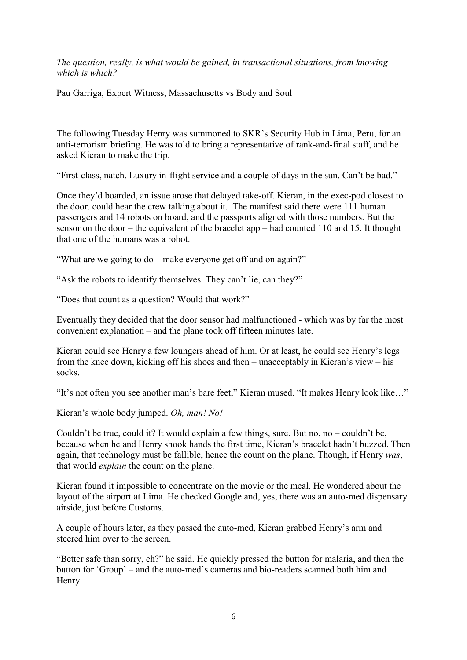The question, really, is what would be gained, in transactional situations, from knowing which is which?

Pau Garriga, Expert Witness, Massachusetts vs Body and Soul

--------------------------------------------------------------------

The following Tuesday Henry was summoned to SKR's Security Hub in Lima, Peru, for an anti-terrorism briefing. He was told to bring a representative of rank-and-final staff, and he asked Kieran to make the trip.

"First-class, natch. Luxury in-flight service and a couple of days in the sun. Can't be bad."

Once they'd boarded, an issue arose that delayed take-off. Kieran, in the exec-pod closest to the door. could hear the crew talking about it. The manifest said there were 111 human passengers and 14 robots on board, and the passports aligned with those numbers. But the sensor on the door – the equivalent of the bracelet app – had counted 110 and 15. It thought that one of the humans was a robot.

"What are we going to do – make everyone get off and on again?"

"Ask the robots to identify themselves. They can't lie, can they?"

"Does that count as a question? Would that work?"

Eventually they decided that the door sensor had malfunctioned - which was by far the most convenient explanation – and the plane took off fifteen minutes late.

Kieran could see Henry a few loungers ahead of him. Or at least, he could see Henry's legs from the knee down, kicking off his shoes and then – unacceptably in Kieran's view – his socks.

"It's not often you see another man's bare feet," Kieran mused. "It makes Henry look like…"

Kieran's whole body jumped. Oh, man! No!

Couldn't be true, could it? It would explain a few things, sure. But no, no – couldn't be, because when he and Henry shook hands the first time, Kieran's bracelet hadn't buzzed. Then again, that technology must be fallible, hence the count on the plane. Though, if Henry was, that would *explain* the count on the plane.

Kieran found it impossible to concentrate on the movie or the meal. He wondered about the layout of the airport at Lima. He checked Google and, yes, there was an auto-med dispensary airside, just before Customs.

A couple of hours later, as they passed the auto-med, Kieran grabbed Henry's arm and steered him over to the screen.

"Better safe than sorry, eh?" he said. He quickly pressed the button for malaria, and then the button for 'Group' – and the auto-med's cameras and bio-readers scanned both him and Henry.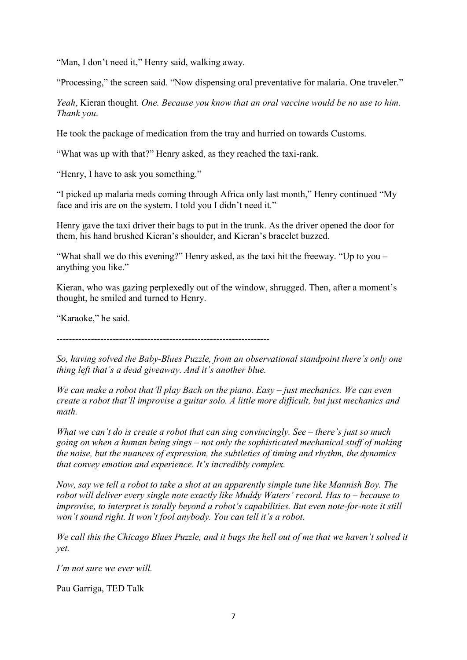"Man, I don't need it," Henry said, walking away.

"Processing," the screen said. "Now dispensing oral preventative for malaria. One traveler."

Yeah, Kieran thought. One. Because you know that an oral vaccine would be no use to him. Thank you.

He took the package of medication from the tray and hurried on towards Customs.

"What was up with that?" Henry asked, as they reached the taxi-rank.

"Henry, I have to ask you something."

"I picked up malaria meds coming through Africa only last month," Henry continued "My face and iris are on the system. I told you I didn't need it."

Henry gave the taxi driver their bags to put in the trunk. As the driver opened the door for them, his hand brushed Kieran's shoulder, and Kieran's bracelet buzzed.

"What shall we do this evening?" Henry asked, as the taxi hit the freeway. "Up to you – anything you like."

Kieran, who was gazing perplexedly out of the window, shrugged. Then, after a moment's thought, he smiled and turned to Henry.

"Karaoke," he said.

--------------------------------------------------------------------

So, having solved the Baby-Blues Puzzle, from an observational standpoint there's only one thing left that's a dead giveaway. And it's another blue.

We can make a robot that'll play Bach on the piano. Easy  $-$  just mechanics. We can even create a robot that'll improvise a guitar solo. A little more difficult, but just mechanics and math.

What we can't do is create a robot that can sing convincingly. See – there's just so much going on when a human being sings – not only the sophisticated mechanical stuff of making the noise, but the nuances of expression, the subtleties of timing and rhythm, the dynamics that convey emotion and experience. It's incredibly complex.

Now, say we tell a robot to take a shot at an apparently simple tune like Mannish Boy. The robot will deliver every single note exactly like Muddy Waters' record. Has to – because to improvise, to interpret is totally beyond a robot's capabilities. But even note-for-note it still won't sound right. It won't fool anybody. You can tell it's a robot.

We call this the Chicago Blues Puzzle, and it bugs the hell out of me that we haven't solved it yet.

I'm not sure we ever will.

Pau Garriga, TED Talk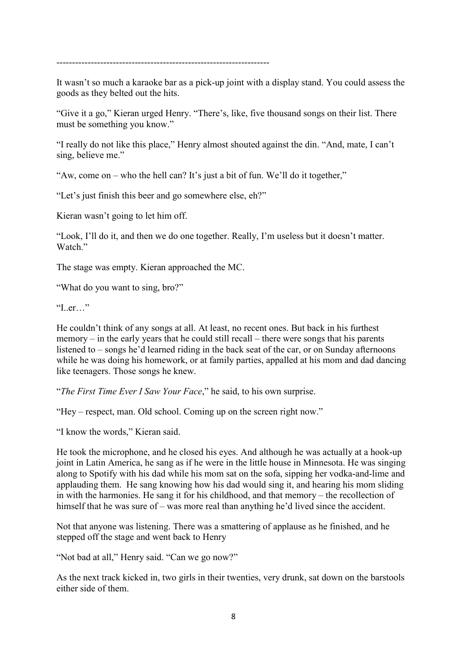--------------------------------------------------------------------

It wasn't so much a karaoke bar as a pick-up joint with a display stand. You could assess the goods as they belted out the hits.

"Give it a go," Kieran urged Henry. "There's, like, five thousand songs on their list. There must be something you know."

"I really do not like this place," Henry almost shouted against the din. "And, mate, I can't sing, believe me."

"Aw, come on – who the hell can? It's just a bit of fun. We'll do it together,"

"Let's just finish this beer and go somewhere else, eh?"

Kieran wasn't going to let him off.

"Look, I'll do it, and then we do one together. Really, I'm useless but it doesn't matter. Watch"

The stage was empty. Kieran approached the MC.

"What do you want to sing, bro?"

"I..er…"

He couldn't think of any songs at all. At least, no recent ones. But back in his furthest memory – in the early years that he could still recall – there were songs that his parents listened to – songs he'd learned riding in the back seat of the car, or on Sunday afternoons while he was doing his homework, or at family parties, appalled at his mom and dad dancing like teenagers. Those songs he knew.

"The First Time Ever I Saw Your Face," he said, to his own surprise.

"Hey – respect, man. Old school. Coming up on the screen right now."

"I know the words," Kieran said.

He took the microphone, and he closed his eyes. And although he was actually at a hook-up joint in Latin America, he sang as if he were in the little house in Minnesota. He was singing along to Spotify with his dad while his mom sat on the sofa, sipping her vodka-and-lime and applauding them. He sang knowing how his dad would sing it, and hearing his mom sliding in with the harmonies. He sang it for his childhood, and that memory – the recollection of himself that he was sure of – was more real than anything he'd lived since the accident.

Not that anyone was listening. There was a smattering of applause as he finished, and he stepped off the stage and went back to Henry

"Not bad at all," Henry said. "Can we go now?"

As the next track kicked in, two girls in their twenties, very drunk, sat down on the barstools either side of them.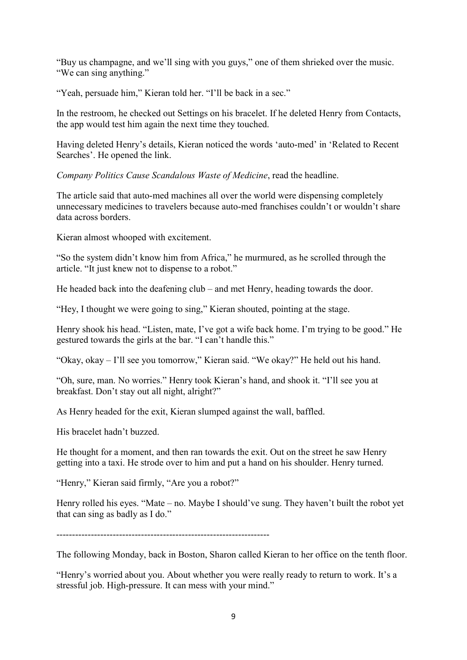"Buy us champagne, and we'll sing with you guys," one of them shrieked over the music. "We can sing anything."

"Yeah, persuade him," Kieran told her. "I'll be back in a sec."

In the restroom, he checked out Settings on his bracelet. If he deleted Henry from Contacts, the app would test him again the next time they touched.

Having deleted Henry's details, Kieran noticed the words 'auto-med' in 'Related to Recent Searches'. He opened the link.

Company Politics Cause Scandalous Waste of Medicine, read the headline.

The article said that auto-med machines all over the world were dispensing completely unnecessary medicines to travelers because auto-med franchises couldn't or wouldn't share data across borders.

Kieran almost whooped with excitement.

"So the system didn't know him from Africa," he murmured, as he scrolled through the article. "It just knew not to dispense to a robot."

He headed back into the deafening club – and met Henry, heading towards the door.

"Hey, I thought we were going to sing," Kieran shouted, pointing at the stage.

Henry shook his head. "Listen, mate, I've got a wife back home. I'm trying to be good." He gestured towards the girls at the bar. "I can't handle this."

"Okay, okay – I'll see you tomorrow," Kieran said. "We okay?" He held out his hand.

"Oh, sure, man. No worries." Henry took Kieran's hand, and shook it. "I'll see you at breakfast. Don't stay out all night, alright?"

As Henry headed for the exit, Kieran slumped against the wall, baffled.

His bracelet hadn't buzzed.

He thought for a moment, and then ran towards the exit. Out on the street he saw Henry getting into a taxi. He strode over to him and put a hand on his shoulder. Henry turned.

"Henry," Kieran said firmly, "Are you a robot?"

Henry rolled his eyes. "Mate – no. Maybe I should've sung. They haven't built the robot yet that can sing as badly as I do."

 $-$ 

The following Monday, back in Boston, Sharon called Kieran to her office on the tenth floor.

"Henry's worried about you. About whether you were really ready to return to work. It's a stressful job. High-pressure. It can mess with your mind."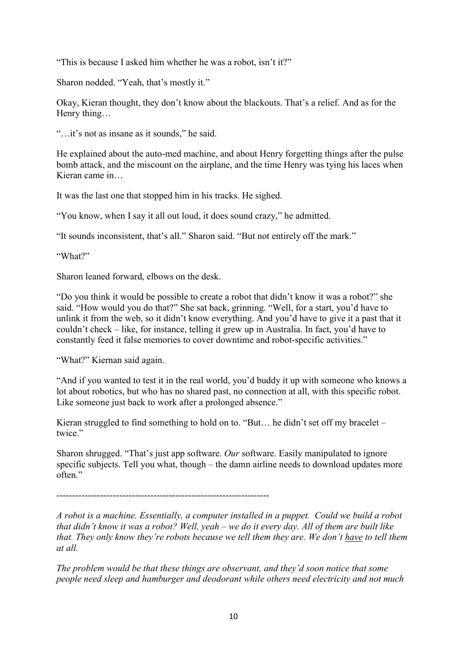"This is because I asked him whether he was a robot, isn't it?"

Sharon nodded. "Yeah, that's mostly it."

Okay, Kieran thought, they don't know about the blackouts. That's a relief. And as for the Henry thing…

"…it's not as insane as it sounds," he said.

He explained about the auto-med machine, and about Henry forgetting things after the pulse bomb attack, and the miscount on the airplane, and the time Henry was tying his laces when Kieran came in…

It was the last one that stopped him in his tracks. He sighed.

"You know, when I say it all out loud, it does sound crazy," he admitted.

"It sounds inconsistent, that's all." Sharon said. "But not entirely off the mark."

"What?"

Sharon leaned forward, elbows on the desk.

"Do you think it would be possible to create a robot that didn't know it was a robot?" she said. "How would you do that?" She sat back, grinning. "Well, for a start, you'd have to unlink it from the web, so it didn't know everything. And you'd have to give it a past that it couldn't check – like, for instance, telling it grew up in Australia. In fact, you'd have to constantly feed it false memories to cover downtime and robot-specific activities."

"What?" Kiernan said again.

"And if you wanted to test it in the real world, you'd buddy it up with someone who knows a lot about robotics, but who has no shared past, no connection at all, with this specific robot. Like someone just back to work after a prolonged absence."

Kieran struggled to find something to hold on to. "But… he didn't set off my bracelet – twice."

Sharon shrugged. "That's just app software. Our software. Easily manipulated to ignore specific subjects. Tell you what, though – the damn airline needs to download updates more often."

--------------------------------------------------------------------

A robot is a machine. Essentially, a computer installed in a puppet. Could we build a robot that didn't know it was a robot? Well, yeah – we do it every day. All of them are built like that. They only know they're robots because we tell them they are. We don't have to tell them at all.

The problem would be that these things are observant, and they'd soon notice that some people need sleep and hamburger and deodorant while others need electricity and not much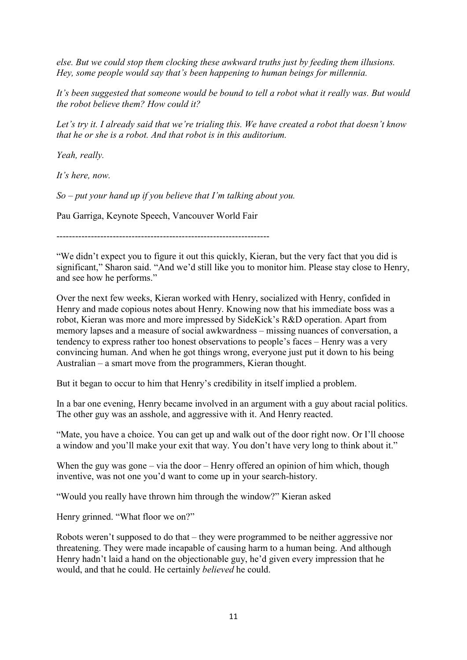else. But we could stop them clocking these awkward truths just by feeding them illusions. Hey, some people would say that's been happening to human beings for millennia.

It's been suggested that someone would be bound to tell a robot what it really was. But would the robot believe them? How could it?

Let's try it. I already said that we're trialing this. We have created a robot that doesn't know that he or she is a robot. And that robot is in this auditorium.

Yeah, really.

It's here, now.

 $So$  – put your hand up if you believe that I'm talking about you.

Pau Garriga, Keynote Speech, Vancouver World Fair

--------------------------------------------------------------------

"We didn't expect you to figure it out this quickly, Kieran, but the very fact that you did is significant," Sharon said. "And we'd still like you to monitor him. Please stay close to Henry, and see how he performs."

Over the next few weeks, Kieran worked with Henry, socialized with Henry, confided in Henry and made copious notes about Henry. Knowing now that his immediate boss was a robot, Kieran was more and more impressed by SideKick's R&D operation. Apart from memory lapses and a measure of social awkwardness – missing nuances of conversation, a tendency to express rather too honest observations to people's faces – Henry was a very convincing human. And when he got things wrong, everyone just put it down to his being Australian – a smart move from the programmers, Kieran thought.

But it began to occur to him that Henry's credibility in itself implied a problem.

In a bar one evening, Henry became involved in an argument with a guy about racial politics. The other guy was an asshole, and aggressive with it. And Henry reacted.

"Mate, you have a choice. You can get up and walk out of the door right now. Or I'll choose a window and you'll make your exit that way. You don't have very long to think about it."

When the guy was gone – via the door – Henry offered an opinion of him which, though inventive, was not one you'd want to come up in your search-history.

"Would you really have thrown him through the window?" Kieran asked

Henry grinned. "What floor we on?"

Robots weren't supposed to do that – they were programmed to be neither aggressive nor threatening. They were made incapable of causing harm to a human being. And although Henry hadn't laid a hand on the objectionable guy, he'd given every impression that he would, and that he could. He certainly believed he could.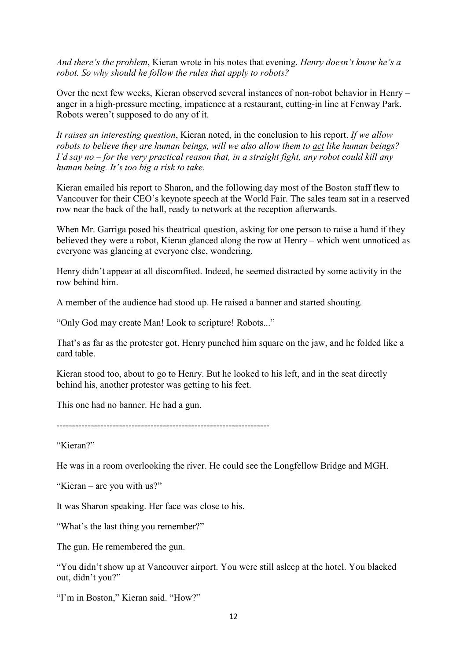And there's the problem, Kieran wrote in his notes that evening. Henry doesn't know he's a robot. So why should he follow the rules that apply to robots?

Over the next few weeks, Kieran observed several instances of non-robot behavior in Henry – anger in a high-pressure meeting, impatience at a restaurant, cutting-in line at Fenway Park. Robots weren't supposed to do any of it.

It raises an interesting question, Kieran noted, in the conclusion to his report. If we allow robots to believe they are human beings, will we also allow them to act like human beings? I'd say no  $-$  for the very practical reason that, in a straight fight, any robot could kill any human being. It's too big a risk to take.

Kieran emailed his report to Sharon, and the following day most of the Boston staff flew to Vancouver for their CEO's keynote speech at the World Fair. The sales team sat in a reserved row near the back of the hall, ready to network at the reception afterwards.

When Mr. Garriga posed his theatrical question, asking for one person to raise a hand if they believed they were a robot, Kieran glanced along the row at Henry – which went unnoticed as everyone was glancing at everyone else, wondering.

Henry didn't appear at all discomfited. Indeed, he seemed distracted by some activity in the row behind him.

A member of the audience had stood up. He raised a banner and started shouting.

"Only God may create Man! Look to scripture! Robots..."

That's as far as the protester got. Henry punched him square on the jaw, and he folded like a card table.

Kieran stood too, about to go to Henry. But he looked to his left, and in the seat directly behind his, another protestor was getting to his feet.

This one had no banner. He had a gun.

--------------------------------------------------------------------

"Kieran?"

He was in a room overlooking the river. He could see the Longfellow Bridge and MGH.

"Kieran – are you with us?"

It was Sharon speaking. Her face was close to his.

"What's the last thing you remember?"

The gun. He remembered the gun.

"You didn't show up at Vancouver airport. You were still asleep at the hotel. You blacked out, didn't you?"

"I'm in Boston," Kieran said. "How?"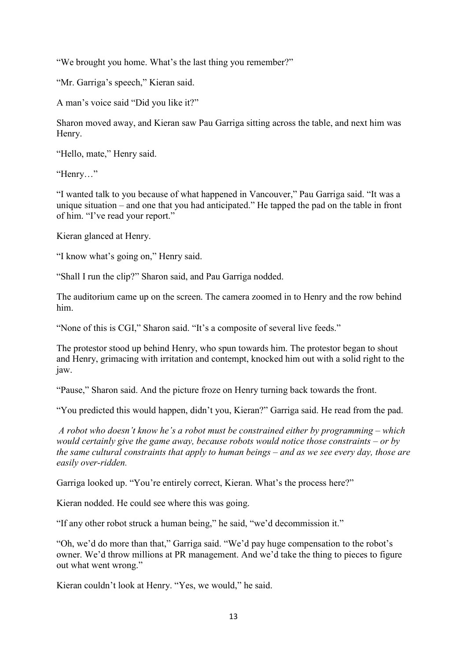"We brought you home. What's the last thing you remember?"

"Mr. Garriga's speech," Kieran said.

A man's voice said "Did you like it?"

Sharon moved away, and Kieran saw Pau Garriga sitting across the table, and next him was Henry.

"Hello, mate," Henry said.

"Henry…"

"I wanted talk to you because of what happened in Vancouver," Pau Garriga said. "It was a unique situation – and one that you had anticipated." He tapped the pad on the table in front of him. "I've read your report."

Kieran glanced at Henry.

"I know what's going on," Henry said.

"Shall I run the clip?" Sharon said, and Pau Garriga nodded.

The auditorium came up on the screen. The camera zoomed in to Henry and the row behind him.

"None of this is CGI," Sharon said. "It's a composite of several live feeds."

The protestor stood up behind Henry, who spun towards him. The protestor began to shout and Henry, grimacing with irritation and contempt, knocked him out with a solid right to the jaw.

"Pause," Sharon said. And the picture froze on Henry turning back towards the front.

"You predicted this would happen, didn't you, Kieran?" Garriga said. He read from the pad.

 A robot who doesn't know he's a robot must be constrained either by programming – which would certainly give the game away, because robots would notice those constraints – or by the same cultural constraints that apply to human beings – and as we see every day, those are easily over-ridden.

Garriga looked up. "You're entirely correct, Kieran. What's the process here?"

Kieran nodded. He could see where this was going.

"If any other robot struck a human being," he said, "we'd decommission it."

"Oh, we'd do more than that," Garriga said. "We'd pay huge compensation to the robot's owner. We'd throw millions at PR management. And we'd take the thing to pieces to figure out what went wrong."

Kieran couldn't look at Henry. "Yes, we would," he said.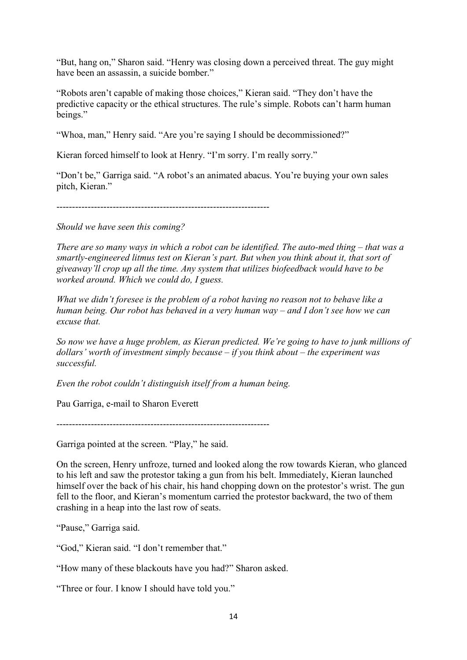"But, hang on," Sharon said. "Henry was closing down a perceived threat. The guy might have been an assassin, a suicide bomber."

"Robots aren't capable of making those choices," Kieran said. "They don't have the predictive capacity or the ethical structures. The rule's simple. Robots can't harm human beings."

"Whoa, man," Henry said. "Are you're saying I should be decommissioned?"

Kieran forced himself to look at Henry. "I'm sorry. I'm really sorry."

"Don't be," Garriga said. "A robot's an animated abacus. You're buying your own sales pitch, Kieran."

--------------------------------------------------------------------

Should we have seen this coming?

There are so many ways in which a robot can be identified. The auto-med thing – that was a smartly-engineered litmus test on Kieran's part. But when you think about it, that sort of giveaway'll crop up all the time. Any system that utilizes biofeedback would have to be worked around. Which we could do, I guess.

What we didn't foresee is the problem of a robot having no reason not to behave like a human being. Our robot has behaved in a very human way – and I don't see how we can excuse that.

So now we have a huge problem, as Kieran predicted. We're going to have to junk millions of dollars' worth of investment simply because  $-$  if you think about  $-$  the experiment was successful.

Even the robot couldn't distinguish itself from a human being.

Pau Garriga, e-mail to Sharon Everett

--------------------------------------------------------------------

Garriga pointed at the screen. "Play," he said.

On the screen, Henry unfroze, turned and looked along the row towards Kieran, who glanced to his left and saw the protestor taking a gun from his belt. Immediately, Kieran launched himself over the back of his chair, his hand chopping down on the protestor's wrist. The gun fell to the floor, and Kieran's momentum carried the protestor backward, the two of them crashing in a heap into the last row of seats.

"Pause," Garriga said.

"God," Kieran said. "I don't remember that."

"How many of these blackouts have you had?" Sharon asked.

"Three or four. I know I should have told you."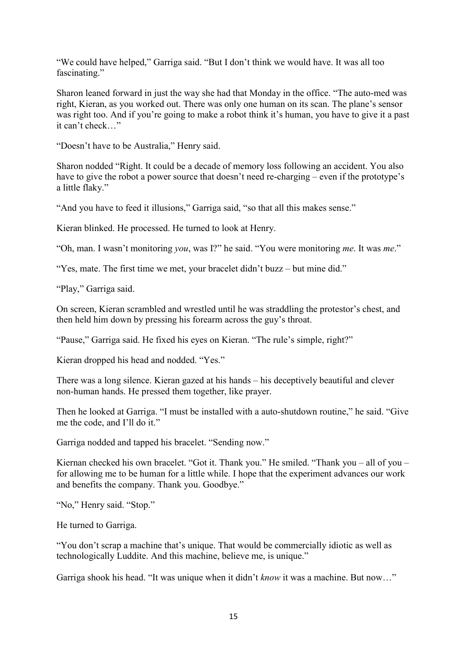"We could have helped," Garriga said. "But I don't think we would have. It was all too fascinating."

Sharon leaned forward in just the way she had that Monday in the office. "The auto-med was right, Kieran, as you worked out. There was only one human on its scan. The plane's sensor was right too. And if you're going to make a robot think it's human, you have to give it a past it can't check…"

"Doesn't have to be Australia," Henry said.

Sharon nodded "Right. It could be a decade of memory loss following an accident. You also have to give the robot a power source that doesn't need re-charging – even if the prototype's a little flaky."

"And you have to feed it illusions," Garriga said, "so that all this makes sense."

Kieran blinked. He processed. He turned to look at Henry.

"Oh, man. I wasn't monitoring you, was I?" he said. "You were monitoring me. It was me."

"Yes, mate. The first time we met, your bracelet didn't buzz – but mine did."

"Play," Garriga said.

On screen, Kieran scrambled and wrestled until he was straddling the protestor's chest, and then held him down by pressing his forearm across the guy's throat.

"Pause," Garriga said. He fixed his eyes on Kieran. "The rule's simple, right?"

Kieran dropped his head and nodded. "Yes."

There was a long silence. Kieran gazed at his hands – his deceptively beautiful and clever non-human hands. He pressed them together, like prayer.

Then he looked at Garriga. "I must be installed with a auto-shutdown routine," he said. "Give me the code, and I'll do it."

Garriga nodded and tapped his bracelet. "Sending now."

Kiernan checked his own bracelet. "Got it. Thank you." He smiled. "Thank you – all of you – for allowing me to be human for a little while. I hope that the experiment advances our work and benefits the company. Thank you. Goodbye."

"No," Henry said. "Stop."

He turned to Garriga.

"You don't scrap a machine that's unique. That would be commercially idiotic as well as technologically Luddite. And this machine, believe me, is unique."

Garriga shook his head. "It was unique when it didn't know it was a machine. But now…"